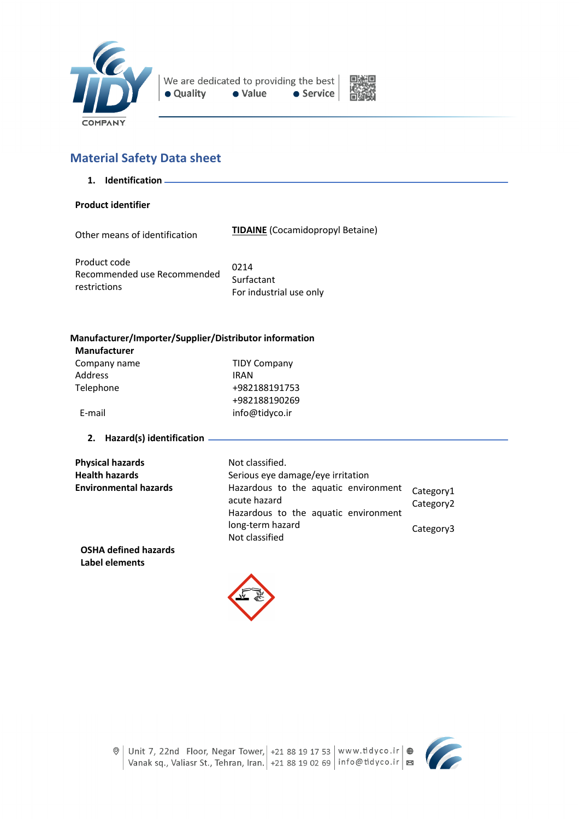



# **Material Safety Data sheet**

**1. Identification**

### **Product identifier**

Other means of identification

**TIDAINE** (Cocamidopropyl Betaine)

Product code Recommended use Recommended restrictions 0214 Surfactant For industrial use only

# **Manufacturer/Importer/Supplier/Distributor information**

| <b>TIDY Company</b> |
|---------------------|
| <b>IRAN</b>         |
| +982188191753       |
| +982188190269       |
| info@tidyco.ir      |
|                     |

### **2. Hazard(s) identification**

| <b>Physical hazards</b>      | Not classified.                                                                              |                                    |
|------------------------------|----------------------------------------------------------------------------------------------|------------------------------------|
| <b>Health hazards</b>        | Serious eye damage/eye irritation                                                            |                                    |
| <b>Environmental hazards</b> | Hazardous to the aquatic environment<br>acute hazard<br>Hazardous to the aquatic environment | Category1<br>Category <sub>2</sub> |
|                              | long-term hazard<br>Not classified                                                           | Category3                          |
| OCUALISTIC AND RESERVE       |                                                                                              |                                    |

**OSHA defined hazards Label elements**



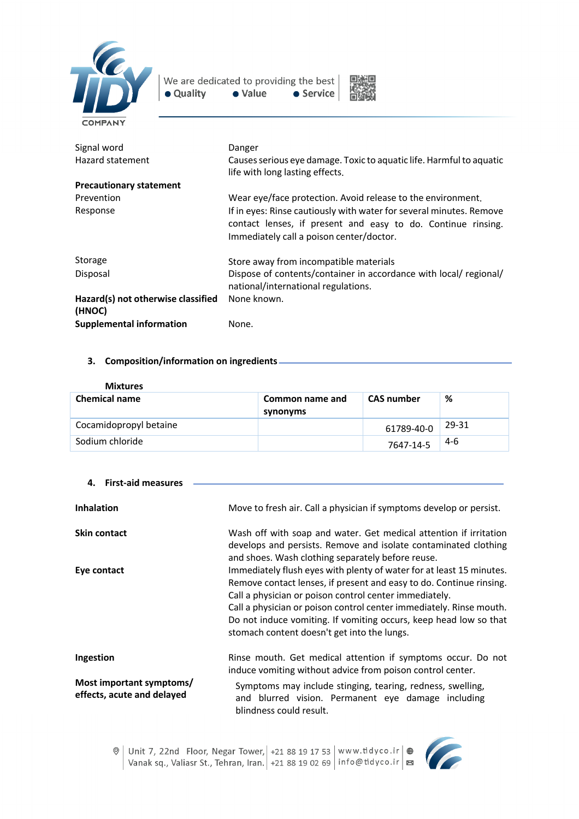

We are dedicated to providing the best • Quality  $\bullet$  Value • Service



| Signal word<br>Hazard statement              | Danger<br>Causes serious eye damage. Toxic to aquatic life. Harmful to aquatic<br>life with long lasting effects.                                                               |
|----------------------------------------------|---------------------------------------------------------------------------------------------------------------------------------------------------------------------------------|
| <b>Precautionary statement</b>               |                                                                                                                                                                                 |
| Prevention                                   | Wear eye/face protection. Avoid release to the environment.                                                                                                                     |
| Response                                     | If in eyes: Rinse cautiously with water for several minutes. Remove<br>contact lenses, if present and easy to do. Continue rinsing.<br>Immediately call a poison center/doctor. |
| Storage                                      | Store away from incompatible materials                                                                                                                                          |
| Disposal                                     | Dispose of contents/container in accordance with local/ regional/<br>national/international regulations.                                                                        |
| Hazard(s) not otherwise classified<br>(HNOC) | None known.                                                                                                                                                                     |
| <b>Supplemental information</b>              | None.                                                                                                                                                                           |

## **3. Composition/information on ingredients**

| <b>Mixtures</b>        |                             |                   |       |
|------------------------|-----------------------------|-------------------|-------|
| <b>Chemical name</b>   | Common name and<br>synonyms | <b>CAS</b> number | %     |
| Cocamidopropyl betaine |                             | 61789-40-0        | 29-31 |
| Sodium chloride        |                             | 7647-14-5         | 4-6   |

| <b>First-aid measures</b><br>4.                        |                                                                                                                                                                                                                                                                                                                                                                                                  |
|--------------------------------------------------------|--------------------------------------------------------------------------------------------------------------------------------------------------------------------------------------------------------------------------------------------------------------------------------------------------------------------------------------------------------------------------------------------------|
| <b>Inhalation</b>                                      | Move to fresh air. Call a physician if symptoms develop or persist.                                                                                                                                                                                                                                                                                                                              |
| <b>Skin contact</b>                                    | Wash off with soap and water. Get medical attention if irritation<br>develops and persists. Remove and isolate contaminated clothing<br>and shoes. Wash clothing separately before reuse.                                                                                                                                                                                                        |
| Eye contact                                            | Immediately flush eyes with plenty of water for at least 15 minutes.<br>Remove contact lenses, if present and easy to do. Continue rinsing.<br>Call a physician or poison control center immediately.<br>Call a physician or poison control center immediately. Rinse mouth.<br>Do not induce vomiting. If vomiting occurs, keep head low so that<br>stomach content doesn't get into the lungs. |
| Ingestion                                              | Rinse mouth. Get medical attention if symptoms occur. Do not<br>induce vomiting without advice from poison control center.                                                                                                                                                                                                                                                                       |
| Most important symptoms/<br>effects, acute and delayed | Symptoms may include stinging, tearing, redness, swelling,<br>and blurred vision. Permanent eye damage including<br>blindness could result.                                                                                                                                                                                                                                                      |

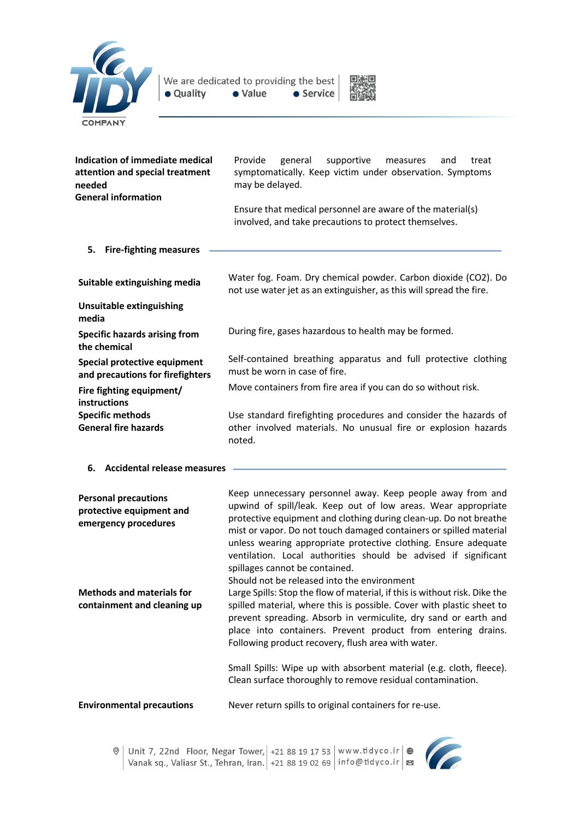



| <b>Indication of immediate medical</b><br>attention and special treatment<br>needed<br><b>General information</b> | Provide<br>general<br>supportive<br>treat<br>measures<br>and<br>symptomatically. Keep victim under observation. Symptoms<br>may be delayed.<br>Ensure that medical personnel are aware of the material(s) |
|-------------------------------------------------------------------------------------------------------------------|-----------------------------------------------------------------------------------------------------------------------------------------------------------------------------------------------------------|
|                                                                                                                   | involved, and take precautions to protect themselves.                                                                                                                                                     |
| 5.<br><b>Fire-fighting measures</b>                                                                               |                                                                                                                                                                                                           |
| Suitable extinguishing media                                                                                      | Water fog. Foam. Dry chemical powder. Carbon dioxide (CO2). Do<br>not use water jet as an extinguisher, as this will spread the fire.                                                                     |
| <b>Unsuitable extinguishing</b><br>media                                                                          |                                                                                                                                                                                                           |
| <b>Specific hazards arising from</b><br>the chemical                                                              | During fire, gases hazardous to health may be formed.                                                                                                                                                     |
| Special protective equipment<br>and precautions for firefighters                                                  | Self-contained breathing apparatus and full protective clothing<br>must be worn in case of fire.                                                                                                          |
| Fire fighting equipment/<br><b>instructions</b>                                                                   | Move containers from fire area if you can do so without risk.                                                                                                                                             |
| <b>Specific methods</b><br><b>General fire hazards</b>                                                            | Use standard firefighting procedures and consider the hazards of<br>other involved materials. No unusual fire or explosion hazards<br>noted.                                                              |

**6. Accidental release measures**

| <b>Personal precautions</b><br>protective equipment and<br>emergency procedures | Keep unnecessary personnel away. Keep people away from and<br>upwind of spill/leak. Keep out of low areas. Wear appropriate<br>protective equipment and clothing during clean-up. Do not breathe<br>mist or vapor. Do not touch damaged containers or spilled material<br>unless wearing appropriate protective clothing. Ensure adequate<br>ventilation. Local authorities should be advised if significant<br>spillages cannot be contained.<br>Should not be released into the environment |
|---------------------------------------------------------------------------------|-----------------------------------------------------------------------------------------------------------------------------------------------------------------------------------------------------------------------------------------------------------------------------------------------------------------------------------------------------------------------------------------------------------------------------------------------------------------------------------------------|
| <b>Methods and materials for</b><br>containment and cleaning up                 | Large Spills: Stop the flow of material, if this is without risk. Dike the<br>spilled material, where this is possible. Cover with plastic sheet to<br>prevent spreading. Absorb in vermiculite, dry sand or earth and<br>place into containers. Prevent product from entering drains.<br>Following product recovery, flush area with water.                                                                                                                                                  |
|                                                                                 | Small Spills: Wipe up with absorbent material (e.g. cloth, fleece).<br>Clean surface thoroughly to remove residual contamination.                                                                                                                                                                                                                                                                                                                                                             |

**Environmental precautions** Never return spills to original containers for re-use.

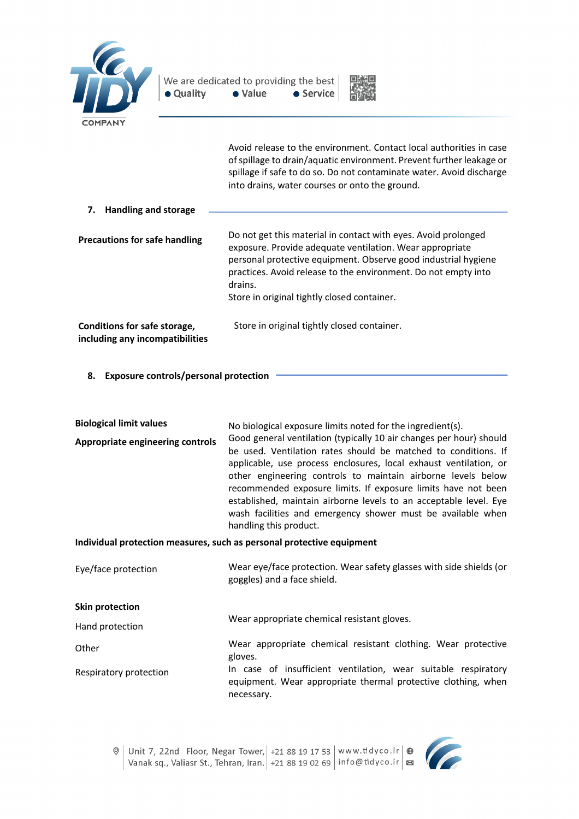



Avoid release to the environment. Contact local authorities in case of spillage to drain/aquatic environment. Prevent further leakage or spillage if safe to do so. Do not contaminate water. Avoid discharge into drains, water courses or onto the ground.

| <b>Handling and storage</b><br>7.                                      |                                                                                                                                                                                                                                                                           |
|------------------------------------------------------------------------|---------------------------------------------------------------------------------------------------------------------------------------------------------------------------------------------------------------------------------------------------------------------------|
| <b>Precautions for safe handling</b>                                   | Do not get this material in contact with eyes. Avoid prolonged<br>exposure. Provide adequate ventilation. Wear appropriate<br>personal protective equipment. Observe good industrial hygiene<br>practices. Avoid release to the environment. Do not empty into<br>drains. |
|                                                                        | Store in original tightly closed container.                                                                                                                                                                                                                               |
| <b>Conditions for safe storage,</b><br>including any incompatibilities | Store in original tightly closed container.                                                                                                                                                                                                                               |

**8. Exposure controls/personal protection**

| <b>Biological limit values</b>          | No biological exposure limits noted for the ingredient(s).                                                                                                                                                                                                                                                                                                                                                                                                                                                |
|-----------------------------------------|-----------------------------------------------------------------------------------------------------------------------------------------------------------------------------------------------------------------------------------------------------------------------------------------------------------------------------------------------------------------------------------------------------------------------------------------------------------------------------------------------------------|
| <b>Appropriate engineering controls</b> | Good general ventilation (typically 10 air changes per hour) should<br>be used. Ventilation rates should be matched to conditions. If<br>applicable, use process enclosures, local exhaust ventilation, or<br>other engineering controls to maintain airborne levels below<br>recommended exposure limits. If exposure limits have not been<br>established, maintain airborne levels to an acceptable level. Eye<br>wash facilities and emergency shower must be available when<br>handling this product. |
|                                         |                                                                                                                                                                                                                                                                                                                                                                                                                                                                                                           |

### **Individual protection measures, such as personal protective equipment**

| Eye/face protection    | Wear eye/face protection. Wear safety glasses with side shields (or<br>goggles) and a face shield.                                            |
|------------------------|-----------------------------------------------------------------------------------------------------------------------------------------------|
| Skin protection        |                                                                                                                                               |
| Hand protection        | Wear appropriate chemical resistant gloves.                                                                                                   |
| Other                  | Wear appropriate chemical resistant clothing. Wear protective<br>gloves.                                                                      |
| Respiratory protection | In case of insufficient ventilation, wear suitable respiratory<br>equipment. Wear appropriate thermal protective clothing, when<br>necessary. |



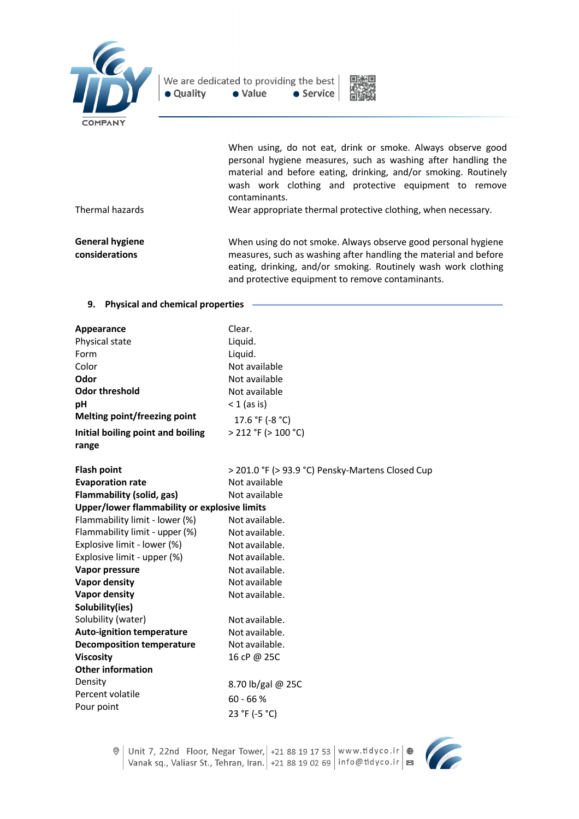



|                                          | When using, do not eat, drink or smoke. Always observe good                                                                                                                                                |
|------------------------------------------|------------------------------------------------------------------------------------------------------------------------------------------------------------------------------------------------------------|
|                                          | personal hygiene measures, such as washing after handling the<br>material and before eating, drinking, and/or smoking. Routinely<br>wash work clothing and protective equipment to remove<br>contaminants. |
| Thermal hazards                          | Wear appropriate thermal protective clothing, when necessary.                                                                                                                                              |
| <b>General hygiene</b><br>considerations | When using do not smoke. Always observe good personal hygiene<br>measures, such as washing after handling the material and before<br>eating, drinking, and/or smoking. Routinely wash work clothing        |

and protective equipment to remove contaminants.

#### **9. Physical and chemical properties**

| <b>Appearance</b>                            | Clear.                                           |
|----------------------------------------------|--------------------------------------------------|
| Physical state                               | Liquid.                                          |
| Form                                         | Liquid.                                          |
| Color                                        | Not available                                    |
| Odor                                         | Not available                                    |
| <b>Odor threshold</b>                        | Not available                                    |
| pH                                           | $<$ 1 (as is)                                    |
| <b>Melting point/freezing point</b>          | 17.6 °F (-8 °C)                                  |
| Initial boiling point and boiling            | > 212 °F (> 100 °C)                              |
| range                                        |                                                  |
| <b>Flash point</b>                           | > 201.0 °F (> 93.9 °C) Pensky-Martens Closed Cup |
| <b>Evaporation rate</b>                      | Not available                                    |
| <b>Flammability (solid, gas)</b>             | Not available                                    |
| Upper/lower flammability or explosive limits |                                                  |
| Flammability limit - lower (%)               | Not available.                                   |
| Flammability limit - upper (%)               | Not available.                                   |
| Explosive limit - lower (%)                  | Not available.                                   |
| Explosive limit - upper (%)                  | Not available.                                   |
| Vapor pressure                               | Not available.                                   |
| <b>Vapor density</b>                         | Not available                                    |
| <b>Vapor density</b>                         | Not available.                                   |
| Solubility(ies)                              |                                                  |
| Solubility (water)                           | Not available.                                   |
| <b>Auto-ignition temperature</b>             | Not available.                                   |
| <b>Decomposition temperature</b>             | Not available.                                   |
| <b>Viscosity</b>                             | 16 cP @ 25C                                      |
| <b>Other information</b>                     |                                                  |
| Density                                      | 8.70 lb/gal @ 25C                                |
| Percent volatile                             | $60 - 66 %$                                      |
| Pour point                                   | 23 °F (-5 °C)                                    |
|                                              |                                                  |

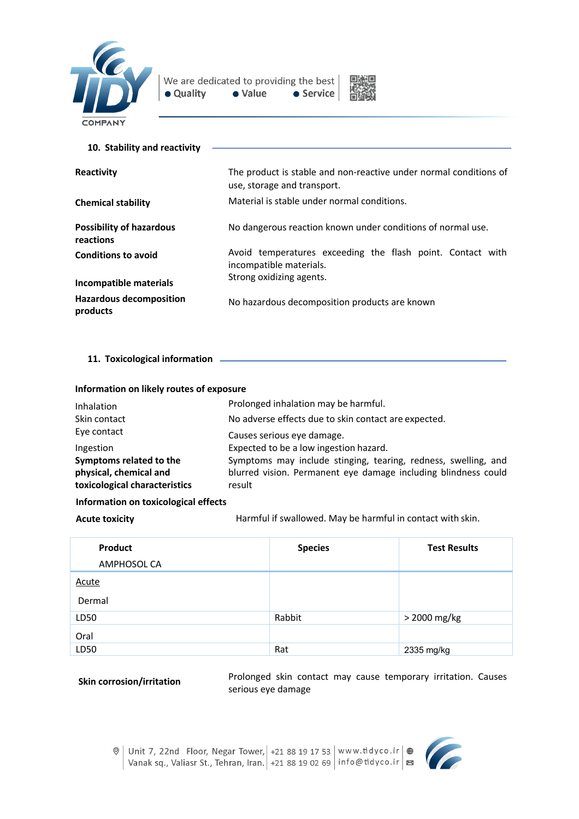



| 10. Stability and reactivity                 |                                                                                                  |
|----------------------------------------------|--------------------------------------------------------------------------------------------------|
| Reactivity                                   | The product is stable and non-reactive under normal conditions of<br>use, storage and transport. |
| <b>Chemical stability</b>                    | Material is stable under normal conditions.                                                      |
| <b>Possibility of hazardous</b><br>reactions | No dangerous reaction known under conditions of normal use.                                      |
| <b>Conditions to avoid</b>                   | Avoid temperatures exceeding the flash point. Contact with<br>incompatible materials.            |
| Incompatible materials                       | Strong oxidizing agents.                                                                         |
| <b>Hazardous decomposition</b><br>products   | No hazardous decomposition products are known                                                    |

**11. Toxicological information** 

| Information on likely routes of exposure |  |  |  |
|------------------------------------------|--|--|--|
|                                          |  |  |  |

| Inhalation                    | Prolonged inhalation may be harmful.                           |
|-------------------------------|----------------------------------------------------------------|
| Skin contact                  | No adverse effects due to skin contact are expected.           |
| Eye contact                   | Causes serious eve damage.                                     |
| Ingestion                     | Expected to be a low ingestion hazard.                         |
| Symptoms related to the       | Symptoms may include stinging, tearing, redness, swelling, and |
| physical, chemical and        | blurred vision. Permanent eye damage including blindness could |
| toxicological characteristics | result                                                         |

### **Information on toxicological effects**

Acute toxicity **Acute toxicity Harmful if swallowed. May be harmful in contact with skin.** 

| Product      | <b>Species</b> | <b>Test Results</b> |
|--------------|----------------|---------------------|
| AMPHOSOL CA  |                |                     |
| <b>Acute</b> |                |                     |
| Dermal       |                |                     |
| LD50         | Rabbit         | > 2000 mg/kg        |
| Oral         |                |                     |
| LD50         | Rat            | 2335 mg/kg          |

**Skin corrosion/irritation** Prolonged skin contact may cause temporary irritation. Causes serious eye damage

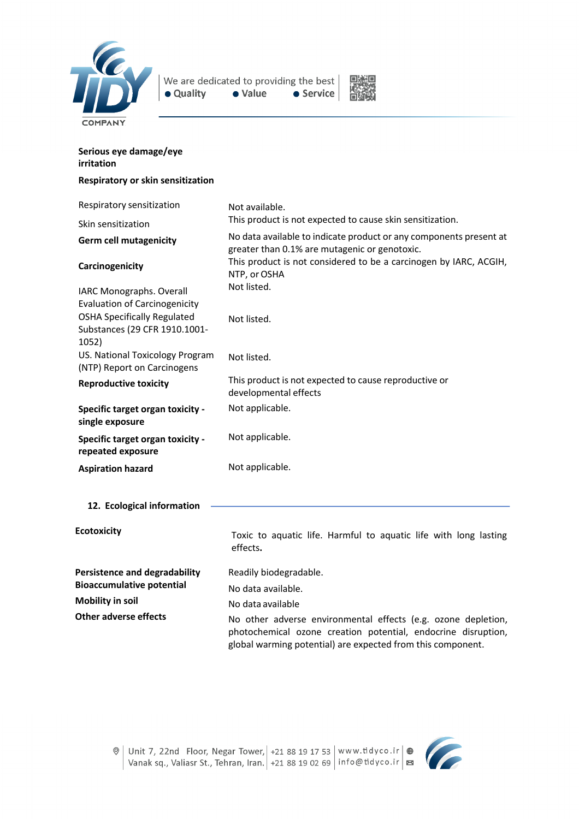

We are dedicated to providing the best  $\bullet$  Value • Quality • Service



| Serious eye damage/eye<br>irritation                                         |                                                                                                                                                                                               |  |
|------------------------------------------------------------------------------|-----------------------------------------------------------------------------------------------------------------------------------------------------------------------------------------------|--|
| Respiratory or skin sensitization                                            |                                                                                                                                                                                               |  |
| Respiratory sensitization                                                    | Not available.                                                                                                                                                                                |  |
| Skin sensitization                                                           | This product is not expected to cause skin sensitization.                                                                                                                                     |  |
| <b>Germ cell mutagenicity</b>                                                | No data available to indicate product or any components present at<br>greater than 0.1% are mutagenic or genotoxic.                                                                           |  |
| Carcinogenicity                                                              | This product is not considered to be a carcinogen by IARC, ACGIH,<br>NTP, or OSHA                                                                                                             |  |
| IARC Monographs. Overall<br><b>Evaluation of Carcinogenicity</b>             | Not listed.                                                                                                                                                                                   |  |
| <b>OSHA Specifically Regulated</b><br>Substances (29 CFR 1910.1001-<br>1052) | Not listed.                                                                                                                                                                                   |  |
| US. National Toxicology Program<br>(NTP) Report on Carcinogens               | Not listed.                                                                                                                                                                                   |  |
| <b>Reproductive toxicity</b>                                                 | This product is not expected to cause reproductive or<br>developmental effects                                                                                                                |  |
| <b>Specific target organ toxicity -</b><br>single exposure                   | Not applicable.                                                                                                                                                                               |  |
| Specific target organ toxicity -<br>repeated exposure                        | Not applicable.                                                                                                                                                                               |  |
| <b>Aspiration hazard</b>                                                     | Not applicable.                                                                                                                                                                               |  |
| 12. Ecological information                                                   |                                                                                                                                                                                               |  |
| <b>Ecotoxicity</b>                                                           | Toxic to aquatic life. Harmful to aquatic life with long lasting<br>effects.                                                                                                                  |  |
| <b>Persistence and degradability</b>                                         | Readily biodegradable.                                                                                                                                                                        |  |
| <b>Bioaccumulative potential</b>                                             | No data available.                                                                                                                                                                            |  |
| <b>Mobility in soil</b>                                                      | No data available                                                                                                                                                                             |  |
| <b>Other adverse effects</b>                                                 | No other adverse environmental effects (e.g. ozone depletion,<br>photochemical ozone creation potential, endocrine disruption,<br>global warming potential) are expected from this component. |  |



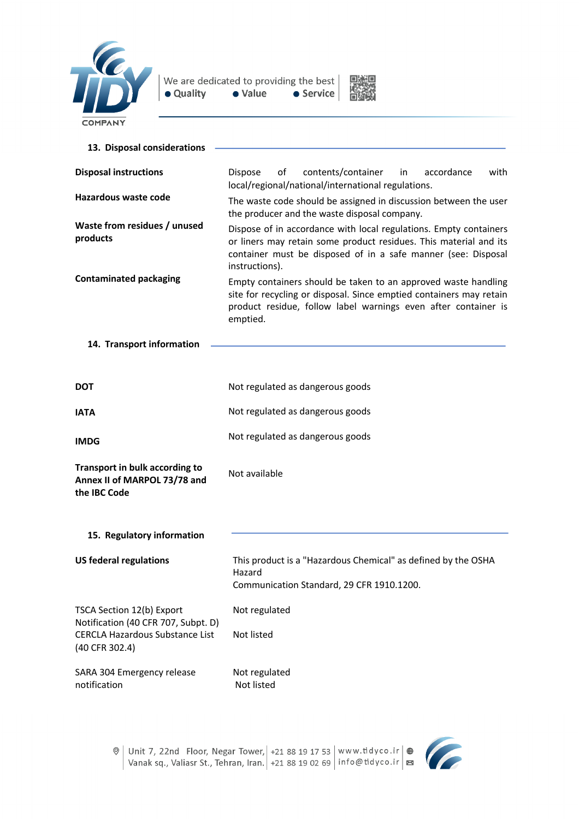



| 13. Disposal considerations                                                    |                                                                                                                                                                                                                           |
|--------------------------------------------------------------------------------|---------------------------------------------------------------------------------------------------------------------------------------------------------------------------------------------------------------------------|
| <b>Disposal instructions</b>                                                   | οf<br>contents/container<br>accordance<br>with<br><b>Dispose</b><br>in<br>local/regional/national/international regulations.                                                                                              |
| <b>Hazardous waste code</b>                                                    | The waste code should be assigned in discussion between the user<br>the producer and the waste disposal company.                                                                                                          |
| Waste from residues / unused<br>products                                       | Dispose of in accordance with local regulations. Empty containers<br>or liners may retain some product residues. This material and its<br>container must be disposed of in a safe manner (see: Disposal<br>instructions). |
| <b>Contaminated packaging</b>                                                  | Empty containers should be taken to an approved waste handling<br>site for recycling or disposal. Since emptied containers may retain<br>product residue, follow label warnings even after container is<br>emptied.       |
| 14. Transport information                                                      |                                                                                                                                                                                                                           |
| DOT                                                                            | Not regulated as dangerous goods                                                                                                                                                                                          |
| <b>IATA</b>                                                                    | Not regulated as dangerous goods                                                                                                                                                                                          |
| <b>IMDG</b>                                                                    | Not regulated as dangerous goods                                                                                                                                                                                          |
| Transport in bulk according to<br>Annex II of MARPOL 73/78 and<br>the IBC Code | Not available                                                                                                                                                                                                             |
| 15. Regulatory information                                                     |                                                                                                                                                                                                                           |
| <b>US federal regulations</b>                                                  | This product is a "Hazardous Chemical" as defined by the OSHA<br>Hazard<br>Communication Standard, 29 CFR 1910.1200.                                                                                                      |
| TSCA Section 12(b) Export<br>Notification (40 CFR 707, Subpt. D)               | Not regulated                                                                                                                                                                                                             |
| CERCLA Hazardous Substance List<br>(40 CFR 302.4)                              | Not listed                                                                                                                                                                                                                |
| SARA 304 Emergency release<br>notification                                     | Not regulated<br>Not listed                                                                                                                                                                                               |

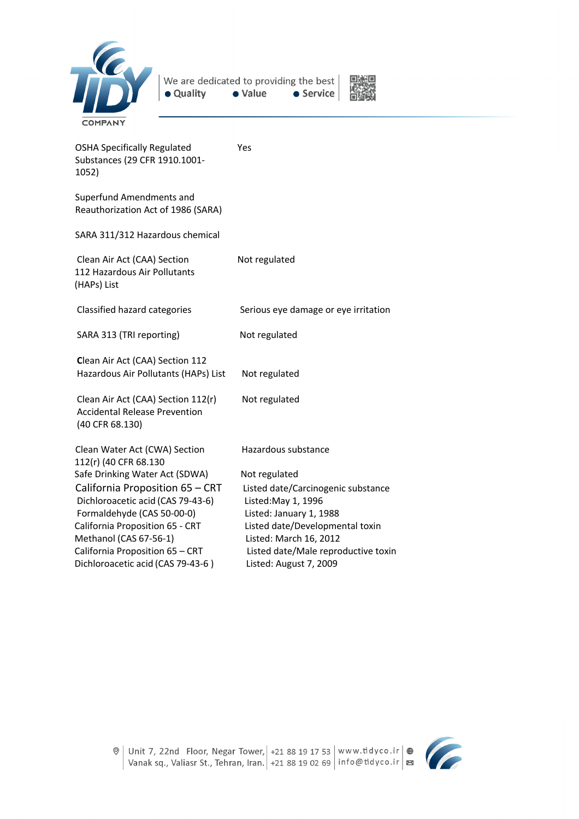



| <b>OSHA Specifically Regulated</b><br>Substances (29 CFR 1910.1001-<br>1052)                  | Yes                                  |
|-----------------------------------------------------------------------------------------------|--------------------------------------|
| Superfund Amendments and<br>Reauthorization Act of 1986 (SARA)                                |                                      |
| SARA 311/312 Hazardous chemical                                                               |                                      |
| Clean Air Act (CAA) Section<br>112 Hazardous Air Pollutants<br>(HAPs) List                    | Not regulated                        |
| Classified hazard categories                                                                  | Serious eye damage or eye irritation |
| SARA 313 (TRI reporting)                                                                      | Not regulated                        |
| Clean Air Act (CAA) Section 112<br>Hazardous Air Pollutants (HAPs) List                       | Not regulated                        |
| Clean Air Act (CAA) Section 112(r)<br><b>Accidental Release Prevention</b><br>(40 CFR 68.130) | Not regulated                        |
| Clean Water Act (CWA) Section<br>112(r) (40 CFR 68.130                                        | Hazardous substance                  |
| Safe Drinking Water Act (SDWA)                                                                | Not regulated                        |
| California Proposition 65 - CRT                                                               | Listed date/Carcinogenic substance   |
| Dichloroacetic acid (CAS 79-43-6)                                                             | Listed: May 1, 1996                  |
| Formaldehyde (CAS 50-00-0)                                                                    | Listed: January 1, 1988              |
| California Proposition 65 - CRT                                                               | Listed date/Developmental toxin      |
| Methanol (CAS 67-56-1)                                                                        | Listed: March 16, 2012               |
| California Proposition 65 - CRT                                                               | Listed date/Male reproductive toxin  |
| Dichloroacetic acid (CAS 79-43-6)                                                             | Listed: August 7, 2009               |

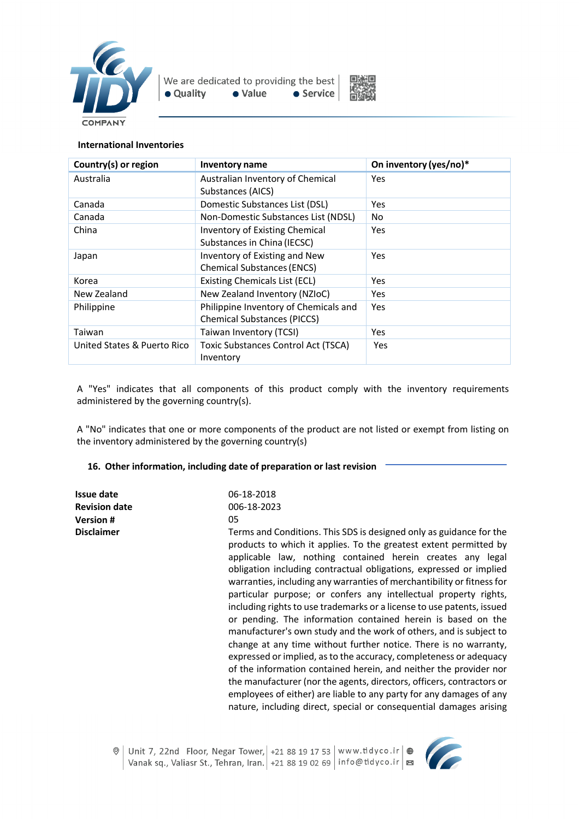



#### **International Inventories**

| Country(s) or region        | Inventory name                             | On inventory (yes/no)* |
|-----------------------------|--------------------------------------------|------------------------|
| Australia                   | Australian Inventory of Chemical           | <b>Yes</b>             |
|                             | Substances (AICS)                          |                        |
| Canada                      | Domestic Substances List (DSL)             | <b>Yes</b>             |
| Canada                      | Non-Domestic Substances List (NDSL)        | No.                    |
| China                       | <b>Inventory of Existing Chemical</b>      | <b>Yes</b>             |
|                             | Substances in China (IECSC)                |                        |
| Japan                       | Inventory of Existing and New              | Yes                    |
|                             | <b>Chemical Substances (ENCS)</b>          |                        |
| Korea                       | <b>Existing Chemicals List (ECL)</b>       | Yes                    |
| New Zealand                 | New Zealand Inventory (NZIoC)              | Yes                    |
| Philippine                  | Philippine Inventory of Chemicals and      | Yes                    |
|                             | <b>Chemical Substances (PICCS)</b>         |                        |
| Taiwan                      | Taiwan Inventory (TCSI)                    | Yes                    |
| United States & Puerto Rico | <b>Toxic Substances Control Act (TSCA)</b> | <b>Yes</b>             |
|                             | Inventory                                  |                        |

A "Yes" indicates that all components of this product comply with the inventory requirements administered by the governing country(s).

A "No" indicates that one or more components of the product are not listed or exempt from listing on the inventory administered by the governing country(s)

#### **16. Other information, including date of preparation or last revision**

| Issue date           | 06-18-2018                                                                                                                                                                                                                                                                                                                                                                                                                                                                                                                                                                                                                                                                                                                                                                                                                                                                                                                                                                                                                                                                      |
|----------------------|---------------------------------------------------------------------------------------------------------------------------------------------------------------------------------------------------------------------------------------------------------------------------------------------------------------------------------------------------------------------------------------------------------------------------------------------------------------------------------------------------------------------------------------------------------------------------------------------------------------------------------------------------------------------------------------------------------------------------------------------------------------------------------------------------------------------------------------------------------------------------------------------------------------------------------------------------------------------------------------------------------------------------------------------------------------------------------|
| <b>Revision date</b> | 006-18-2023                                                                                                                                                                                                                                                                                                                                                                                                                                                                                                                                                                                                                                                                                                                                                                                                                                                                                                                                                                                                                                                                     |
| <b>Version#</b>      | 05                                                                                                                                                                                                                                                                                                                                                                                                                                                                                                                                                                                                                                                                                                                                                                                                                                                                                                                                                                                                                                                                              |
| <b>Disclaimer</b>    | Terms and Conditions. This SDS is designed only as guidance for the<br>products to which it applies. To the greatest extent permitted by<br>applicable law, nothing contained herein creates any legal<br>obligation including contractual obligations, expressed or implied<br>warranties, including any warranties of merchantibility or fitness for<br>particular purpose; or confers any intellectual property rights,<br>including rights to use trademarks or a license to use patents, issued<br>or pending. The information contained herein is based on the<br>manufacturer's own study and the work of others, and is subject to<br>change at any time without further notice. There is no warranty,<br>expressed or implied, as to the accuracy, completeness or adequacy<br>of the information contained herein, and neither the provider nor<br>the manufacturer (nor the agents, directors, officers, contractors or<br>employees of either) are liable to any party for any damages of any<br>nature, including direct, special or consequential damages arising |